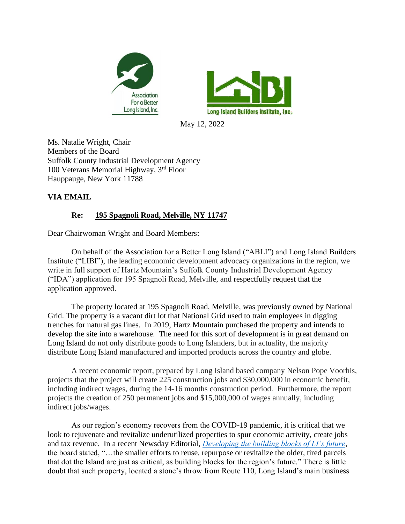



May 12, 2022

Ms. Natalie Wright, Chair Members of the Board Suffolk County Industrial Development Agency 100 Veterans Memorial Highway, 3rd Floor Hauppauge, New York 11788

## **VIA EMAIL**

## **Re: 195 Spagnoli Road, Melville, NY 11747**

Dear Chairwoman Wright and Board Members:

On behalf of the Association for a Better Long Island ("ABLI") and Long Island Builders Institute ("LIBI"), the leading economic development advocacy organizations in the region, we write in full support of Hartz Mountain's Suffolk County Industrial Development Agency ("IDA") application for 195 Spagnoli Road, Melville, and respectfully request that the application approved.

The property located at 195 Spagnoli Road, Melville, was previously owned by National Grid. The property is a vacant dirt lot that National Grid used to train employees in digging trenches for natural gas lines. In 2019, Hartz Mountain purchased the property and intends to develop the site into a warehouse. The need for this sort of development is in great demand on Long Island do not only distribute goods to Long Islanders, but in actuality, the majority distribute Long Island manufactured and imported products across the country and globe.

A recent economic report, prepared by Long Island based company Nelson Pope Voorhis, projects that the project will create 225 construction jobs and \$30,000,000 in economic benefit, including indirect wages, during the 14-16 months construction period. Furthermore, the report projects the creation of 250 permanent jobs and \$15,000,000 of wages annually, including indirect jobs/wages.

As our region's economy recovers from the COVID-19 pandemic, it is critical that we look to rejuvenate and revitalize underutilized properties to spur economic activity, create jobs and tax revenue. In a recent Newsday Editorial, *[Developing the building blocks of LI's future](https://www.newsday.com/opinion/editorial/development-building-blocks-long-island-macy-s-sears-seritage-hauppauge-industrial-park-business-housing-hybrid-1.50074869)*, the board stated, "…the smaller efforts to reuse, repurpose or revitalize the older, tired parcels that dot the Island are just as critical, as building blocks for the region's future." There is little doubt that such property, located a stone's throw from Route 110, Long Island's main business